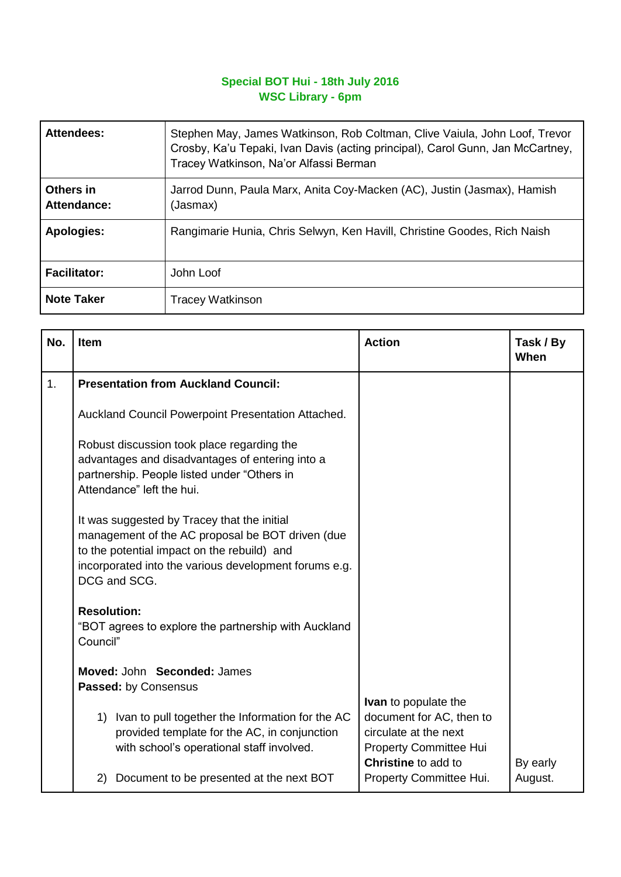## **Special BOT Hui - 18th July 2016 WSC Library - 6pm**

| <b>Attendees:</b>        | Stephen May, James Watkinson, Rob Coltman, Clive Vaiula, John Loof, Trevor<br>Crosby, Ka'u Tepaki, Ivan Davis (acting principal), Carol Gunn, Jan McCartney,<br>Tracey Watkinson, Na'or Alfassi Berman |  |
|--------------------------|--------------------------------------------------------------------------------------------------------------------------------------------------------------------------------------------------------|--|
| Others in<br>Attendance: | Jarrod Dunn, Paula Marx, Anita Coy-Macken (AC), Justin (Jasmax), Hamish<br>(Jasmax)                                                                                                                    |  |
| <b>Apologies:</b>        | Rangimarie Hunia, Chris Selwyn, Ken Havill, Christine Goodes, Rich Naish                                                                                                                               |  |
| <b>Facilitator:</b>      | John Loof                                                                                                                                                                                              |  |
| <b>Note Taker</b>        | <b>Tracey Watkinson</b>                                                                                                                                                                                |  |

| No. | <b>Item</b>                                                                                                                                                                                                             | <b>Action</b>                                                                                      | Task / By<br>When |
|-----|-------------------------------------------------------------------------------------------------------------------------------------------------------------------------------------------------------------------------|----------------------------------------------------------------------------------------------------|-------------------|
| 1.  | <b>Presentation from Auckland Council:</b>                                                                                                                                                                              |                                                                                                    |                   |
|     | Auckland Council Powerpoint Presentation Attached.                                                                                                                                                                      |                                                                                                    |                   |
|     | Robust discussion took place regarding the<br>advantages and disadvantages of entering into a<br>partnership. People listed under "Others in<br>Attendance" left the hui.                                               |                                                                                                    |                   |
|     | It was suggested by Tracey that the initial<br>management of the AC proposal be BOT driven (due<br>to the potential impact on the rebuild) and<br>incorporated into the various development forums e.g.<br>DCG and SCG. |                                                                                                    |                   |
|     | <b>Resolution:</b><br>"BOT agrees to explore the partnership with Auckland<br>Council"                                                                                                                                  |                                                                                                    |                   |
|     | Moved: John Seconded: James                                                                                                                                                                                             |                                                                                                    |                   |
|     | Passed: by Consensus                                                                                                                                                                                                    | <b>Ivan</b> to populate the                                                                        |                   |
|     | 1) Ivan to pull together the Information for the AC<br>provided template for the AC, in conjunction<br>with school's operational staff involved.                                                                        | document for AC, then to<br>circulate at the next<br>Property Committee Hui<br>Christine to add to | By early          |
|     | Document to be presented at the next BOT<br>2)                                                                                                                                                                          | Property Committee Hui.                                                                            | August.           |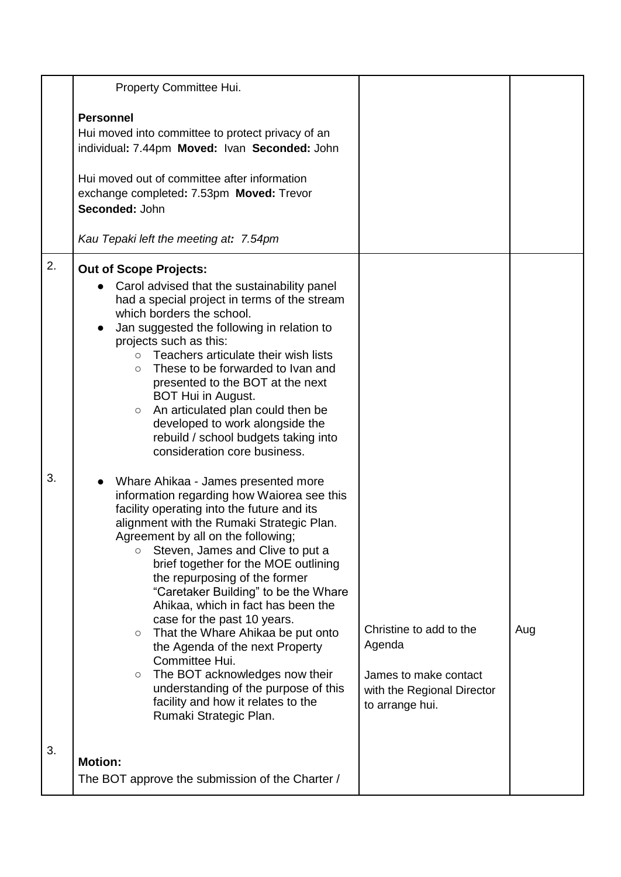|          | Property Committee Hui.                                                                                                                                                                                                                                                                                                                                                                                                                                                                                                                                                                                                                                                                                                                                                                                                                                                                                                                                                                                                          |                                                                                  |     |
|----------|----------------------------------------------------------------------------------------------------------------------------------------------------------------------------------------------------------------------------------------------------------------------------------------------------------------------------------------------------------------------------------------------------------------------------------------------------------------------------------------------------------------------------------------------------------------------------------------------------------------------------------------------------------------------------------------------------------------------------------------------------------------------------------------------------------------------------------------------------------------------------------------------------------------------------------------------------------------------------------------------------------------------------------|----------------------------------------------------------------------------------|-----|
|          | <b>Personnel</b><br>Hui moved into committee to protect privacy of an<br>individual: 7.44pm Moved: Ivan Seconded: John<br>Hui moved out of committee after information<br>exchange completed: 7.53pm Moved: Trevor<br>Seconded: John                                                                                                                                                                                                                                                                                                                                                                                                                                                                                                                                                                                                                                                                                                                                                                                             |                                                                                  |     |
|          | Kau Tepaki left the meeting at: 7.54pm                                                                                                                                                                                                                                                                                                                                                                                                                                                                                                                                                                                                                                                                                                                                                                                                                                                                                                                                                                                           |                                                                                  |     |
| 2.<br>3. | <b>Out of Scope Projects:</b><br>Carol advised that the sustainability panel<br>had a special project in terms of the stream<br>which borders the school.<br>Jan suggested the following in relation to<br>projects such as this:<br>Teachers articulate their wish lists<br>$\circ$<br>These to be forwarded to Ivan and<br>$\circ$<br>presented to the BOT at the next<br>BOT Hui in August.<br>An articulated plan could then be<br>$\circlearrowright$<br>developed to work alongside the<br>rebuild / school budgets taking into<br>consideration core business.<br>Whare Ahikaa - James presented more<br>information regarding how Waiorea see this<br>facility operating into the future and its<br>alignment with the Rumaki Strategic Plan.<br>Agreement by all on the following;<br>Steven, James and Clive to put a<br>$\circ$<br>brief together for the MOE outlining<br>the repurposing of the former<br>"Caretaker Building" to be the Whare<br>Ahikaa, which in fact has been the<br>case for the past 10 years. | Christine to add to the                                                          | Aug |
|          | That the Whare Ahikaa be put onto<br>$\circlearrowright$<br>the Agenda of the next Property<br>Committee Hui.<br>The BOT acknowledges now their<br>$\circ$<br>understanding of the purpose of this<br>facility and how it relates to the<br>Rumaki Strategic Plan.                                                                                                                                                                                                                                                                                                                                                                                                                                                                                                                                                                                                                                                                                                                                                               | Agenda<br>James to make contact<br>with the Regional Director<br>to arrange hui. |     |
| 3.       | <b>Motion:</b><br>The BOT approve the submission of the Charter /                                                                                                                                                                                                                                                                                                                                                                                                                                                                                                                                                                                                                                                                                                                                                                                                                                                                                                                                                                |                                                                                  |     |